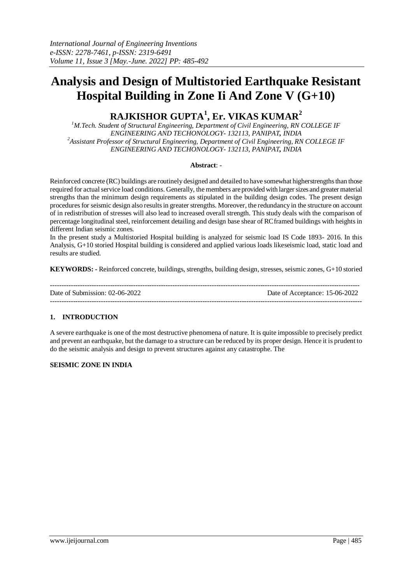# **Analysis and Design of Multistoried Earthquake Resistant Hospital Building in Zone Ii And Zone V (G+10)**

## **RAJKISHOR GUPTA<sup>1</sup> , Er. VIKAS KUMAR<sup>2</sup>**

*<sup>1</sup>M.Tech. Student of Structural Engineering, Department of Civil Engineering, RN COLLEGE IF ENGINEERING AND TECHONOLOGY- 132113, PANIPAT, INDIA <sup>2</sup>Assistant Professor of Structural Engineering, Department of Civil Engineering, RN COLLEGE IF ENGINEERING AND TECHONOLOGY- 132113, PANIPAT, INDIA*

## **Abstract**: -

Reinforced concrete (RC) buildings are routinely designed and detailed to have somewhat higherstrengths than those required for actual service load conditions. Generally, the members are provided with larger sizes and greater material strengths than the minimum design requirements as stipulated in the building design codes. The present design procedures for seismic design also resultsin greater strengths. Moreover, the redundancy in the structure on account of in redistribution of stresses will also lead to increased overall strength. This study deals with the comparison of percentage longitudinal steel, reinforcement detailing and design base shear of RCframed buildings with heights in different Indian seismic zones.

In the present study a Multistoried Hospital building is analyzed for seismic load IS Code 1893- 2016. In this Analysis, G+10 storied Hospital building is considered and applied various loads likeseismic load, static load and results are studied.

**KEYWORDS: -** Reinforced concrete, buildings, strengths, building design, stresses, seismic zones, G+10 storied

| Date of Submission: 02-06-2022 | Date of Acceptance: 15-06-2022 |
|--------------------------------|--------------------------------|
|                                |                                |

## **1. INTRODUCTION**

A severe earthquake is one of the most destructive phenomena of nature. It is quite impossible to precisely predict and prevent an earthquake, but the damage to a structure can be reduced by its proper design. Hence it is prudent to do the seismic analysis and design to prevent structures against any catastrophe. The

## **SEISMIC ZONE IN INDIA**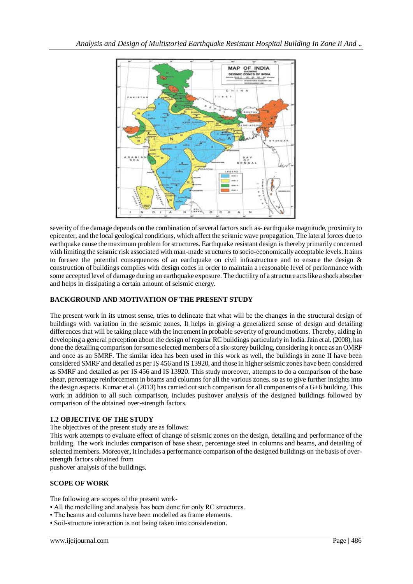

severity of the damage depends on the combination of several factors such as- earthquake magnitude, proximity to epicenter, and the local geological conditions, which affect the seismic wave propagation. The lateral forces due to earthquake cause the maximum problem for structures. Earthquake resistant design is thereby primarily concerned with limiting the seismic risk associated with man-made structures to socio-economically acceptable levels. It aims to foresee the potential consequences of an earthquake on civil infrastructure and to ensure the design  $\&$ construction of buildings complies with design codes in order to maintain a reasonable level of performance with some accepted level of damage during an earthquake exposure. The ductility of a structure acts like a shock absorber and helps in dissipating a certain amount of seismic energy.

## **BACKGROUND AND MOTIVATION OF THE PRESENT STUDY**

The present work in its utmost sense, tries to delineate that what will be the changes in the structural design of buildings with variation in the seismic zones. It helps in giving a generalized sense of design and detailing differences that will be taking place with the increment in probable severity of ground motions. Thereby, aiding in developing a general perception about the design of regular RC buildings particularly in India. Jain et al. (2008), has done the detailing comparison for some selected members of a six-storey building, considering it once as an OMRF and once as an SMRF. The similar idea has been used in this work as well, the buildings in zone II have been considered SMRF and detailed as per IS 456 and IS 13920, and those in higher seismic zones have been considered as SMRF and detailed as per IS 456 and IS 13920. This study moreover, attempts to do a comparison of the base shear, percentage reinforcement in beams and columns for all the various zones. so as to give further insights into the design aspects. Kumar et al. (2013) has carried out such comparison for all components of a G+6 building. This work in addition to all such comparison, includes pushover analysis of the designed buildings followed by comparison of the obtained over-strength factors.

## **1.2 OBJECTIVE OF THE STUDY**

The objectives of the present study are as follows:

This work attempts to evaluate effect of change of seismic zones on the design, detailing and performance of the building. The work includes comparison of base shear, percentage steel in columns and beams, and detailing of selected members. Moreover, it includes a performance comparison of the designed buildings on the basis of overstrength factors obtained from

pushover analysis of the buildings.

## **SCOPE OF WORK**

The following are scopes of the present work-

- All the modelling and analysis has been done for only RC structures.
- The beams and columns have been modelled as frame elements.
- Soil-structure interaction is not being taken into consideration.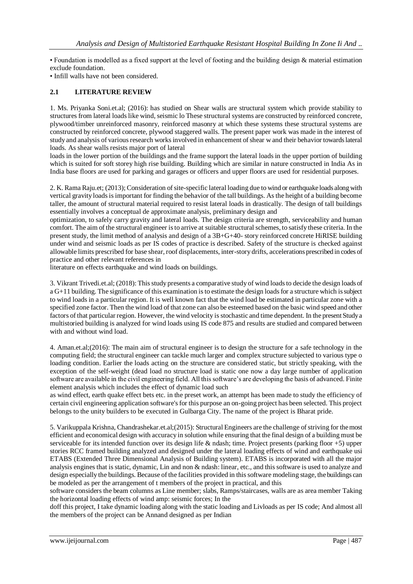• Foundation is modelled as a fixed support at the level of footing and the building design & material estimation exclude foundation.

• Infill walls have not been considered.

## **2.1 LITERATURE REVIEW**

1. Ms. Priyanka Soni.et.al; (2016): has studied on Shear walls are structural system which provide stability to structures from lateral loads like wind, seismic lo These structural systems are constructed by reinforced concrete, plywood/timber unreinforced masonry, reinforced masonry at which these systems these structural systems are constructed by reinforced concrete, plywood staggered walls. The present paper work was made in the interest of study and analysis of various research works involved in enhancement of shear w and their behavior towards lateral loads. As shear walls resists major port of lateral

loads in the lower portion of the buildings and the frame support the lateral loads in the upper portion of building which is suited for soft storey high rise building. Building which are similar in nature constructed in India As in India base floors are used for parking and garages or officers and upper floors are used for residential purposes.

2. K. Rama Raju.et; (2013); Consideration of site-specific lateral loading due to wind or earthquake loads along with vertical gravity loads is important for finding the behavior of the tall buildings. As the height of a building become taller, the amount of structural material required to resist lateral loads in drastically. The design of tall buildings essentially involves a conceptual de approximate analysis, preliminary design and

optimization, to safely carry gravity and lateral loads. The design criteria are strength, serviceability and human comfort. The aim of the structural engineer is to arrive at suitable structural schemes, to satisfy these criteria. In the present study, the limit method of analysis and design of a 3B+G+40- story reinforced concrete HiRISE building under wind and seismic loads as per IS codes of practice is described. Safety of the structure is checked against allowable limits prescribed for base shear, roof displacements, inter-story drifts, accelerations prescribed in codes of practice and other relevant references in

literature on effects earthquake and wind loads on buildings.

3. Vikrant Trivedi.et.al; (2018): This study presents a comparative study of wind loads to decide the design loads of a G+11 building. The significance of this examination is to estimate the design loads for a structure which is subject to wind loads in a particular region. It is well known fact that the wind load be estimated in particular zone with a specified zone factor. Then the wind load of that zone can also be esteemed based on the basic wind speed and other factors of that particular region. However, the wind velocity is stochastic and time dependent. In the present Study a multistoried building is analyzed for wind loads using IS code 875 and results are studied and compared between with and without wind load.

4. Aman.et.al;(2016): The main aim of structural engineer is to design the structure for a safe technology in the computing field; the structural engineer can tackle much larger and complex structure subjected to various type o loading condition. Earlier the loads acting on the structure are considered static, but strictly speaking, with the exception of the self-weight (dead load no structure load is static one now a day large number of application software are available in the civil engineering field. All this software's are developing the basis of advanced. Finite element analysis which includes the effect of dynamic load such

as wind effect, earth quake effect bets etc. in the preset work, an attempt has been made to study the efficiency of certain civil engineering application software's for this purpose an on-going project has been selected. This project belongs to the unity builders to be executed in Gulbarga City. The name of the project is Bharat pride.

5. Varikuppala Krishna, Chandrashekar.et.al;(2015): Structural Engineers are the challenge of striving for the most efficient and economical design with accuracy in solution while ensuring that the final design of a building must be serviceable for its intended function over its design life & ndash; time. Project presents (parking floor +5) upper stories RCC framed building analyzed and designed under the lateral loading effects of wind and earthquake usi ETABS (Extended Three Dimensional Analysis of Building system). ETABS is incorporated with all the major analysis engines that is static, dynamic, Lin and non & ndash: linear, etc., and this software is used to analyze and design especially the buildings. Because of the facilities provided in this software modeling stage, the buildings can be modeled as per the arrangement of t members of the project in practical, and this

software considers the beam columns as Line member; slabs, Ramps/staircases, walls are as area member Taking the horizontal loading effects of wind amp: seismic forces; In the

doff this project, I take dynamic loading along with the static loading and Livloads as per IS code; And almost all the members of the project can be Annand designed as per Indian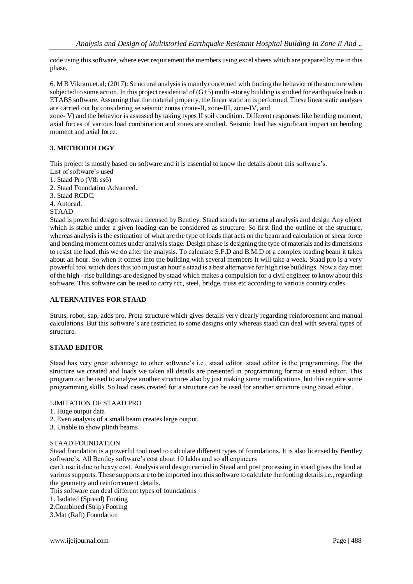code using thissoftware, where ever requirement the members using excel sheets which are prepared by me in this phase.

6. M B Vikram.et.al; (2017): Structural analysis is mainly concerned with finding the behavior of the structure when subjected to some action. In this project residential of  $(G+5)$  multi-storey building is studied for earthquake loads u ETABS software. Assuming that the material property, the linear static an is performed. These linear static analyses are carried out by considering se seismic zones (zone-II, zone-III, zone-IV, and

zone- V) and the behavior is assessed by taking types II soil condition. Different responses like bending moment, axial forces of various load combination and zones are studied. Seismic load has significant impact on bending moment and axial force.

## **3. METHODOLOGY**

This project is mostly based on software and it is essential to know the details about this software's.

- List of software's used
- 1. Staad Pro (V8i ss6)
- 2. Staad Foundation Advanced.
- 3. Staad RCDC.
- 4. Autocad.

#### STAAD

Staad is powerful design software licensed by Bentley. Staad stands for structural analysis and design Any object which is stable under a given loading can be considered as structure. So first find the outline of the structure, whereas analysis is the estimation of what are the type of loads that acts on the beam and calculation of shear force and bending moment comes under analysis stage. Design phase is designing the type of materials and its dimensions to resist the load. this we do after the analysis. To calculate S.F.D and B.M.D of a complex loading beam it takes about an hour. So when it comes into the building with several members it will take a week. Staad pro is a very powerful tool which does this job in just an hour's staad is a best alternative for high rise buildings. Now a day most of the high - rise buildings are designed by staad which makes a compulsion for a civil engineer to know about this software. This software can be used to carry rcc, steel, bridge, truss etc according to various country codes.

## **ALTERNATIVES FOR STAAD**

Struts, robot, sap, adds pro, Prota structure which gives details very clearly regarding reinforcement and manual calculations. But this software's are restricted to some designs only whereas staad can deal with several types of structure.

## **STAAD EDITOR**

Staad has very great advantage to other software's i.e., staad editor. staad editor is the programming. For the structure we created and loads we taken all details are presented in programming format in staad editor. This program can be used to analyze another structures also by just making some modifications, but this require some programming skills. So load cases created for a structure can be used for another structure using Staad editor.

## LIMITATION OF STAAD PRO

- 1. Huge output data
- 2. Even analysis of a small beam creates large output.
- 3. Unable to show plinth beams

## STAAD FOUNDATION

Staad foundation is a powerful tool used to calculate different types of foundations. It is also licensed by Bentley software's. All Bentley software's cost about 10 lakhs and so all engineers

can't use it due to heavy cost. Analysis and design carried in Staad and post processing in staad gives the load at varioussupports. These supports are to be imported into this software to calculate the footing details i.e., regarding the geometry and reinforcement details.

This software can deal different types of foundations

1. Isolated (Spread) Footing

2.Combined (Strip) Footing

3.Mat (Raft) Foundation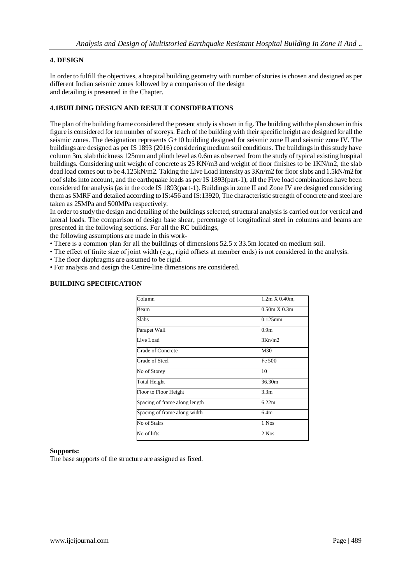## **4. DESIGN**

In order to fulfill the objectives, a hospital building geometry with number of stories is chosen and designed as per different Indian seismic zones followed by a comparison of the design and detailing is presented in the Chapter.

## **4.1BUILDING DESIGN AND RESULT CONSIDERATIONS**

The plan of the building frame considered the present study is shown in fig. The building with the plan shown in this figure is considered for ten number of storeys. Each of the building with their specific height are designed for all the seismic zones. The designation represents G+10 building designed for seismic zone II and seismic zone IV. The buildings are designed as per IS 1893 (2016) considering medium soil conditions. The buildings in this study have column 3m, slab thickness 125mm and plinth level as 0.6m as observed from the study of typical existing hospital buildings. Considering unit weight of concrete as 25 KN/m3 and weight of floor finishes to be 1KN/m2, the slab dead load comes out to be 4.125kN/m2. Taking the Live Load intensity as 3Kn/m2 for floor slabs and 1.5kN/m2 for roof slabs into account, and the earthquake loads as per IS 1893(part-1); all the Five load combinations have been considered for analysis (as in the code IS 1893(part-1). Buildings in zone II and Zone IV are designed considering them as SMRF and detailed according to IS:456 and IS:13920, The characteristic strength of concrete and steel are taken as 25MPa and 500MPa respectively.

In order to study the design and detailing of the buildings selected, structural analysis is carried out for vertical and lateral loads. The comparison of design base shear, percentage of longitudinal steel in columns and beams are presented in the following sections. For all the RC buildings,

the following assumptions are made in this work-

- There is a common plan for all the buildings of dimensions 52.5 x 33.5m located on medium soil.
- The effect of finite size of joint width (e.g., rigid offsets at member ends) is not considered in the analysis.
- The floor diaphragms are assumed to be rigid.
- For analysis and design the Centre-line dimensions are considered.

| Column                        | 1.2m X 0.40m,    |
|-------------------------------|------------------|
| <b>Beam</b>                   | 0.50m X 0.3m     |
| Slabs                         | $0.125$ mm       |
| Parapet Wall                  | 0.9 <sub>m</sub> |
| Live Load                     | 3Kn/m2           |
| <b>Grade of Concrete</b>      | M30              |
| Grade of Steel                | Fe 500           |
| No of Storey                  | 10               |
| Total Height                  | 36.30m           |
| Floor to Floor Height         | 3.3 <sub>m</sub> |
| Spacing of frame along length | 622m             |
| Spacing of frame along width  | 6.4m             |
| No of Stairs                  | 1 Nos            |
| No of lifts                   | 2 Nos            |

## **BUILDING SPECIFICATION**

#### **Supports:**

The base supports of the structure are assigned as fixed.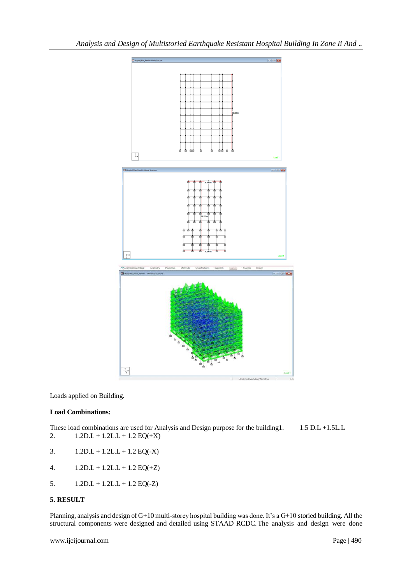

Loads applied on Building.

## **Load Combinations:**

These load combinations are used for Analysis and Design purpose for the building1. 1.5 D.L +1.5L.L 2.  $1.2D.L + 1.2L.L + 1.2 EQ(+X)$ 

- 3.  $1.2D.L + 1.2L.L + 1.2 EQ(-X)$
- 4.  $1.2D.L + 1.2L.L + 1.2 EQ(+Z)$
- 5.  $1.2D.L + 1.2L.L + 1.2 EQ(-Z)$

## **5. RESULT**

Planning, analysis and design of G+10 multi-storey hospital building was done. It's a G+10 storied building. All the structural components were designed and detailed using STAAD RCDC.The analysis and design were done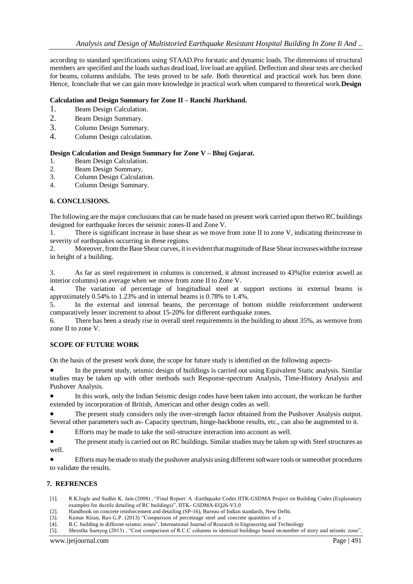according to standard specifications using STAAD.Pro forstatic and dynamic loads. The dimensions of structural members are specified and the loads suchas dead load, live load are applied. Deflection and shear tests are checked for beams, columns andslabs. The tests proved to be safe. Both theoretical and practical work has been done. Hence, Iconclude that we can gain more knowledge in practical work when compared to theoretical work.**Design** 

## **Calculation and Design Summary for Zone II – Ranchi Jharkhand.**

- 1. Beam Design Calculation.
- 2. Beam Design Summary.
- 3. Column Design Summary.
- 4. Column Design calculation.

## **Design Calculation and Design Summary for Zone V – Bhuj Gujarat.**

- 1. Beam Design Calculation.
- 2. Beam Design Summary.
- 3. Column Design Calculation.
- 4. Column Design Summary.

## **6. CONCLUSIONS.**

The following are the major conclusions that can be made based on present work carried upon thetwo RC buildings designed for earthquake forces the seismic zones-II and Zone V.

1. There is significant increase in base shear as we move from zone II to zone V, indicating theincrease in severity of earthquakes occurring in these regions.

Moreover, from the Base Shear curves, it is evident that magnitude of Base Shear increases with the increase in height of a building.

3. As far as steel requirement in columns is concerned, it almost increased to 43%(for exterior aswell as interior columns) on average when we move from zone II to Zone V.

4. The variation of percentage of longitudinal steel at support sections in external beams is approximately 0.54% to 1.23% and in internal beams is 0.78% to 1.4%.

5. In the external and internal beams, the percentage of bottom middle reinforcement underwent comparatively lesser increment to about 15-20% for different earthquake zones.

6. There has been a steady rise in overall steel requirements in the building to about 35%, as wemove from zone II to zone V.

## **SCOPE OF FUTURE WORK**

On the basis of the present work done, the scope for future study is identified on the following aspects-

 In the present study, seismic design of buildings is carried out using Equivalent Static analysis. Similar studies may be taken up with other methods such Response-spectrum Analysis, Time-History Analysis and Pushover Analysis.

 In this work, only the Indian Seismic design codes have been taken into account, the workcan be further extended by incorporation of British, American and other design codes as well.

 The present study considers only the over-strength factor obtained from the Pushover Analysis output. Several other parameters such as- Capacity spectrum, hinge-backbone results, etc., can also be augmented to it.

Efforts may be made to take the soil-structure interaction into account as well.

 The present study is carried out on RC buildings. Similar studies may be taken up with Steel structures as well.

Efforts may be made to study the pushover analysis using different software tools or someother procedures to validate the results.

## **7. REFRENCES**

- [1]. R.K.Ingle and Sudhir K. Jain (2008) , "Final Report: A -Earthquake Codes IITK-GSDMA Project on Building Codes (Explanatory examples for ductile detailing of RC buildings)", IITK- GSDMA-EQ26-V3.0
- [2]. Handbook on concrete reinforcement and detailing (SP-16), Bureau of Indian standards, New Delhi.
- [3]. Kumar Kiran, Rao G.P. (2013) "Comparison of percentage steel and concrete quantities of a
- [4]. R.C. building in different seismic zones", International Journal of Research in Engineering and Technology